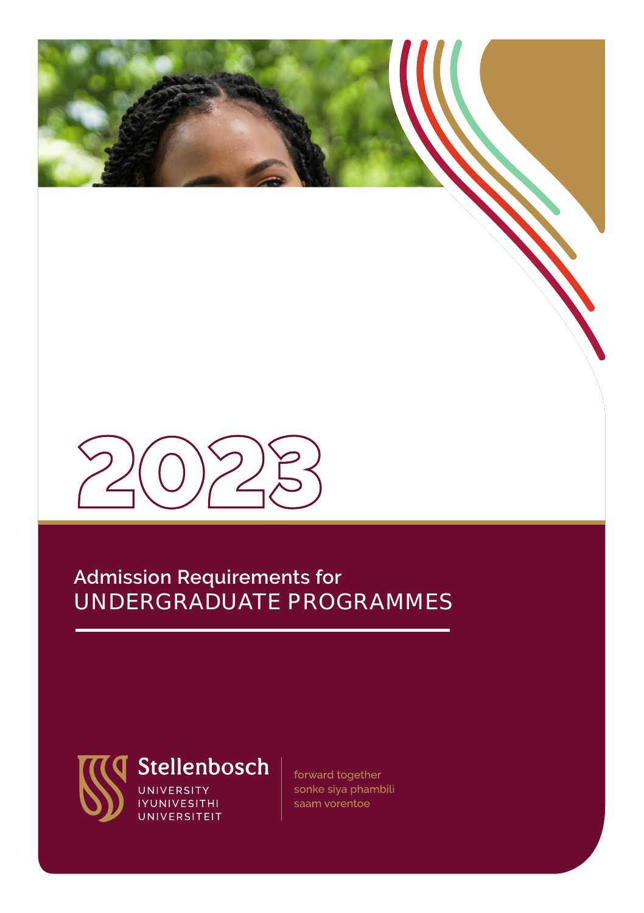# **Admission Requirements for** UNDERGRADUATE PROGRAMMES



forward together sonke siya phambili saam vorentoe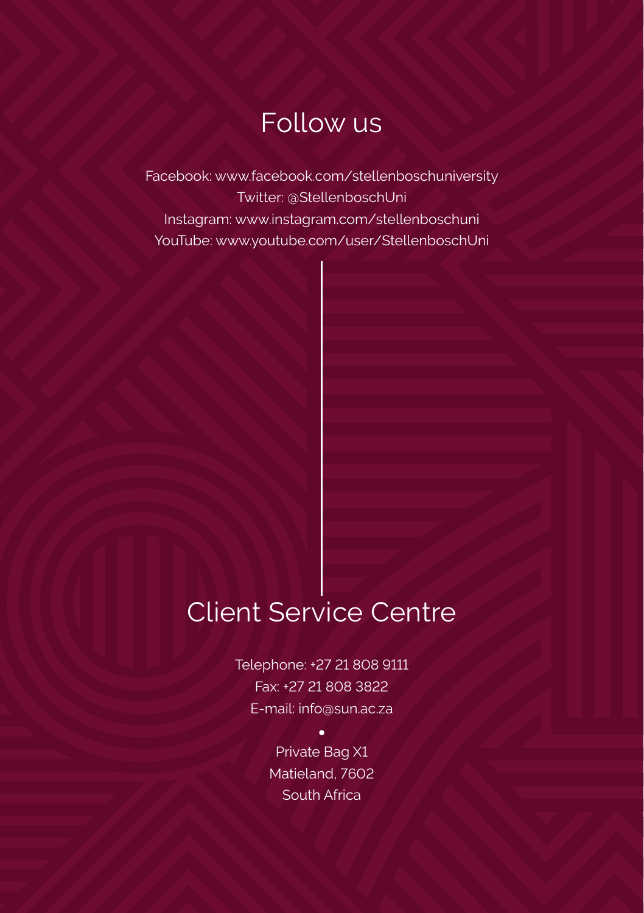# Follow us

Facebook: www.facebook.com/stellenboschuniversity Twitter: @StellenboschUni Instagram: www.instagram.com/stellenboschuni YouTube: www.youtube.com/user/StellenboschUni

# Client Service Centre

Telephone: +27 21 808 9111 Fax: +27 21 808 3822 E-mail: info@sun.ac.za

> Private Bag X1 Matieland, 7602 South Africa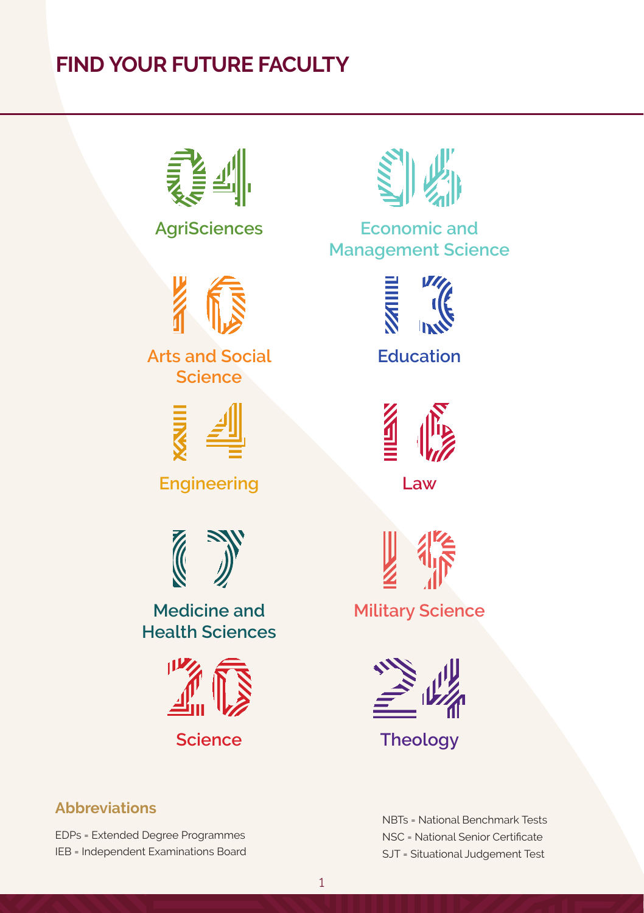# **FIND YOUR FUTURE FACULTY**





**Arts and Social Science**



**Engineering Law**



**Medicine and Health Sciences**



**AgriSciences Economic and Management Science**



**Education**





**Military Science**



**Science Theology**

# **Abbreviations**

EDPs = Extended Degree Programmes IEB = Independent Examinations Board NBTs = National Benchmark Tests NSC = National Senior Certificate SJT = Situational Judgement Test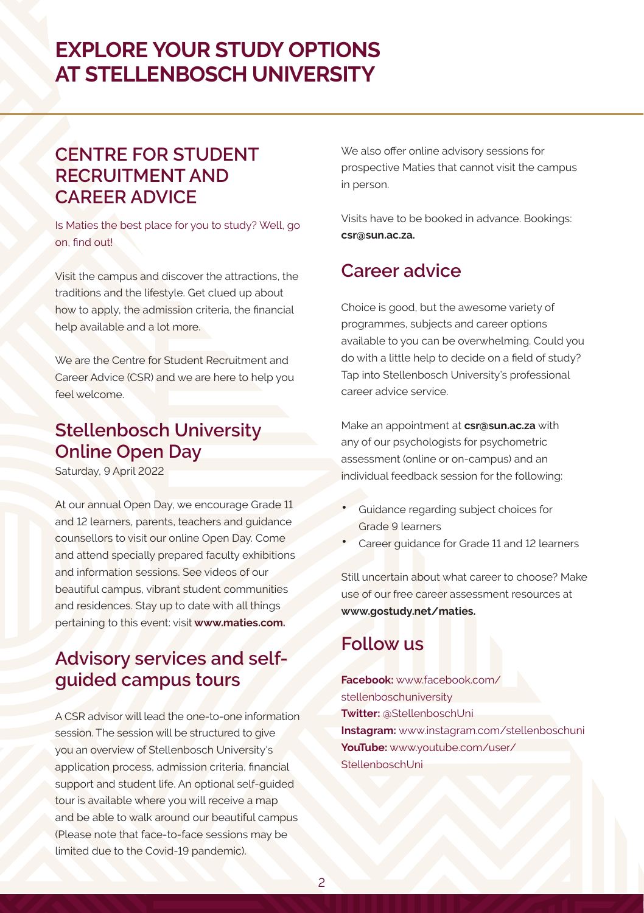# **EXPLORE YOUR STUDY OPTIONS AT STELLENBOSCH UNIVERSITY**

# **CENTRE FOR STUDENT RECRUITMENT AND CAREER ADVICE**

Is Maties the best place for you to study? Well, go on, find out!

Visit the campus and discover the attractions, the traditions and the lifestyle. Get clued up about how to apply, the admission criteria, the financial help available and a lot more.

We are the Centre for Student Recruitment and Career Advice (CSR) and we are here to help you feel welcome.

# **Stellenbosch University Online Open Day**

Saturday, 9 April 2022

At our annual Open Day, we encourage Grade 11 and 12 learners, parents, teachers and guidance counsellors to visit our online Open Day. Come and attend specially prepared faculty exhibitions and information sessions. See videos of our beautiful campus, vibrant student communities and residences. Stay up to date with all things pertaining to this event: visit **www.maties.com.**

# **Advisory services and selfguided campus tours**

A CSR advisor will lead the one-to-one information session. The session will be structured to give you an overview of Stellenbosch University's application process, admission criteria, financial support and student life. An optional self-guided tour is available where you will receive a map and be able to walk around our beautiful campus (Please note that face-to-face sessions may be limited due to the Covid-19 pandemic).

We also offer online advisory sessions for prospective Maties that cannot visit the campus in person.

Visits have to be booked in advance. Bookings: **csr@sun.ac.za.**

# **Career advice**

Choice is good, but the awesome variety of programmes, subjects and career options available to you can be overwhelming. Could you do with a little help to decide on a field of study? Tap into Stellenbosch University's professional career advice service.

Make an appointment at **csr@sun.ac.za** with any of our psychologists for psychometric assessment (online or on-campus) and an individual feedback session for the following:

- Guidance regarding subject choices for Grade 9 learners
- Career guidance for Grade 11 and 12 learners

Still uncertain about what career to choose? Make use of our free career assessment resources at **www.gostudy.net/maties.**

# **Follow us**

**Facebook:** www.facebook.com/ stellenboschuniversity **Twitter:** @StellenboschUni **Instagram:** www.instagram.com/stellenboschuni **YouTube:** www.youtube.com/user/ StellenboschUni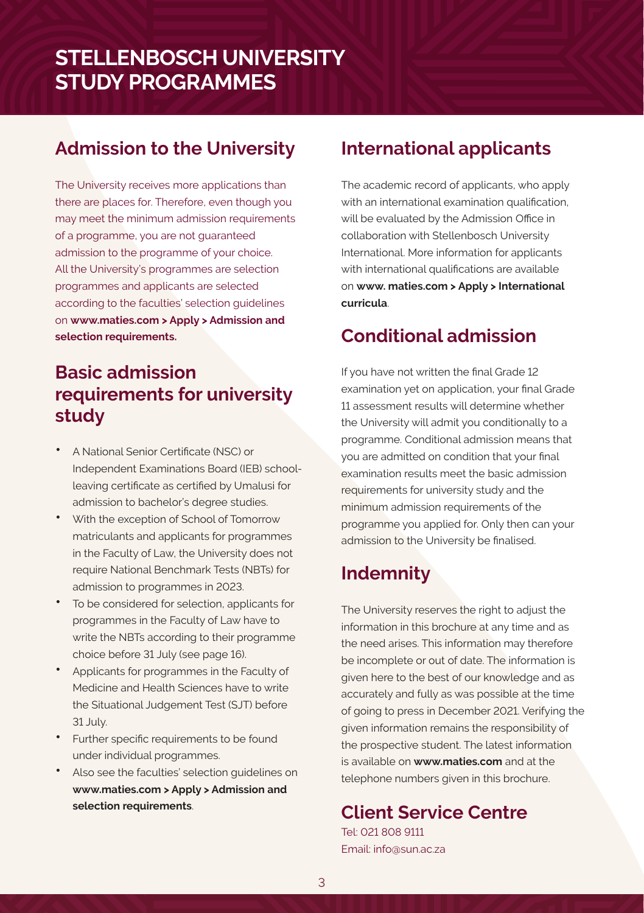# **Admission to the University**

The University receives more applications than there are places for. Therefore, even though you may meet the minimum admission requirements of a programme, you are not guaranteed admission to the programme of your choice. All the University's programmes are selection programmes and applicants are selected according to the faculties' selection guidelines on **www.maties.com > Apply > Admission and selection requirements.**

# **Basic admission requirements for university study**

- A National Senior Certificate (NSC) or Independent Examinations Board (IEB) schoolleaving certificate as certified by Umalusi for admission to bachelor's degree studies.
- With the exception of School of Tomorrow matriculants and applicants for programmes in the Faculty of Law, the University does not require National Benchmark Tests (NBTs) for admission to programmes in 2023.
- To be considered for selection, applicants for programmes in the Faculty of Law have to write the NBTs according to their programme choice before 31 July (see page 16).
- Applicants for programmes in the Faculty of Medicine and Health Sciences have to write the Situational Judgement Test (SJT) before 31 July.
- Further specific requirements to be found under individual programmes.
- Also see the faculties' selection guidelines on **www.maties.com > Apply > Admission and selection requirements**.

# **International applicants**

The academic record of applicants, who apply with an international examination qualification, will be evaluated by the Admission Office in collaboration with Stellenbosch University International. More information for applicants with international qualifications are available on **www. maties.com > Apply > International curricula**.

# **Conditional admission**

If you have not written the final Grade 12 examination yet on application, your final Grade 11 assessment results will determine whether the University will admit you conditionally to a programme. Conditional admission means that you are admitted on condition that your final examination results meet the basic admission requirements for university study and the minimum admission requirements of the programme you applied for. Only then can your admission to the University be finalised.

# **Indemnity**

The University reserves the right to adjust the information in this brochure at any time and as the need arises. This information may therefore be incomplete or out of date. The information is given here to the best of our knowledge and as accurately and fully as was possible at the time of going to press in December 2021. Verifying the given information remains the responsibility of the prospective student. The latest information is available on **www.maties.com** and at the telephone numbers given in this brochure.

# **Client Service Centre**

Tel: 021 808 9111 Email: info@sun.ac.za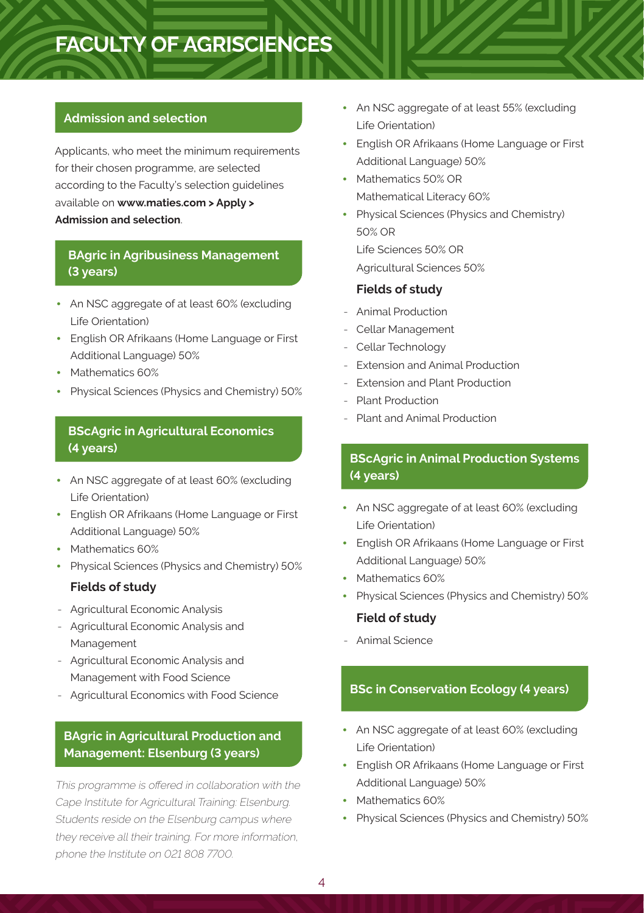# **FACULTY OF AGRISCIENCES**

### **Admission and selection**

Applicants, who meet the minimum requirements for their chosen programme, are selected according to the Faculty's selection guidelines available on **www.maties.com > Apply > Admission and selection**.

# **BAgric in Agribusiness Management (3 years)**

- An NSC aggregate of at least 60% (excluding Life Orientation)
- English OR Afrikaans (Home Language or First Additional Language) 50%
- Mathematics 60%
- Physical Sciences (Physics and Chemistry) 50%

## **BScAgric in Agricultural Economics (4 years)**

- An NSC aggregate of at least 60% (excluding Life Orientation)
- English OR Afrikaans (Home Language or First Additional Language) 50%
- Mathematics 60%
- Physical Sciences (Physics and Chemistry) 50%

### **Fields of study**

- Agricultural Economic Analysis
- Agricultural Economic Analysis and Management
- Agricultural Economic Analysis and Management with Food Science
- Agricultural Economics with Food Science

# **BAgric in Agricultural Production and Management: Elsenburg (3 years)**

This programme is offered in collaboration with the Cape Institute for Agricultural Training: Elsenburg. Students reside on the Elsenburg campus where they receive all their training. For more information, phone the Institute on 021 808 7700.

- An NSC aggregate of at least 55% (excluding Life Orientation)
- English OR Afrikaans (Home Language or First Additional Language) 50%
- Mathematics 50% OR Mathematical Literacy 60%
- Physical Sciences (Physics and Chemistry) 50% OR

Life Sciences 50% OR Agricultural Sciences 50%

### **Fields of study**

- Animal Production
- Cellar Management
- Cellar Technology
- Extension and Animal Production
- Extension and Plant Production
- Plant Production
- Plant and Animal Production

# **BScAgric in Animal Production Systems (4 years)**

- An NSC aggregate of at least 60% (excluding Life Orientation)
- English OR Afrikaans (Home Language or First Additional Language) 50%
- Mathematics 60%
- Physical Sciences (Physics and Chemistry) 50%

### **Field of study**

- Animal Science

# **BSc in Conservation Ecology (4 years)**

- An NSC aggregate of at least 60% (excluding Life Orientation)
- English OR Afrikaans (Home Language or First Additional Language) 50%
- Mathematics 60%
- Physical Sciences (Physics and Chemistry) 50%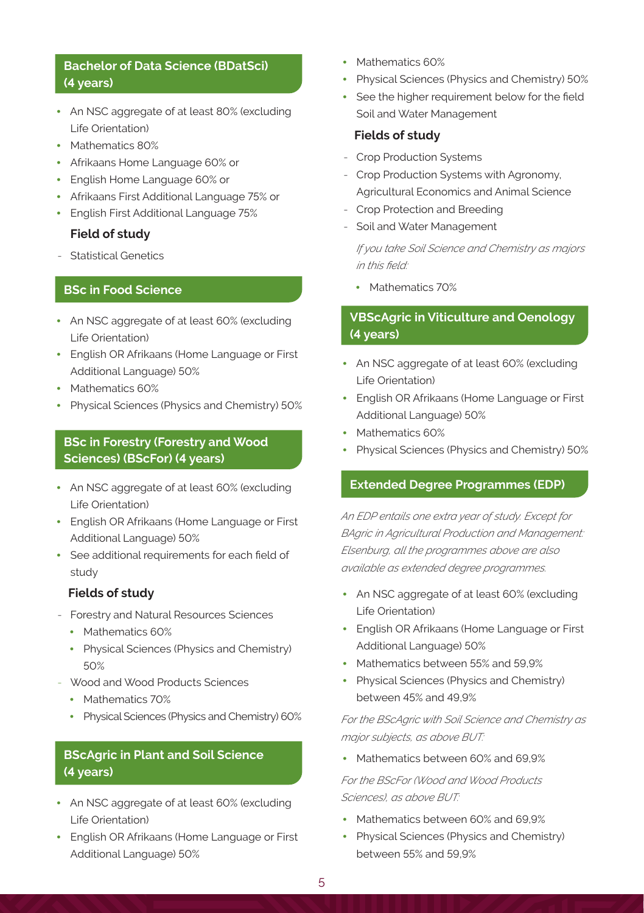# **Bachelor of Data Science (BDatSci) (4 years)**

- An NSC aggregate of at least 80% (excluding Life Orientation)
- Mathematics 80%
- Afrikaans Home Language 60% or
- English Home Language 60% or
- Afrikaans First Additional Language 75% or
- English First Additional Language 75%

### **Field of study**

- Statistical Genetics

# **BSc in Food Science**

- An NSC aggregate of at least 60% (excluding Life Orientation)
- English OR Afrikaans (Home Language or First Additional Language) 50%
- Mathematics 60%
- Physical Sciences (Physics and Chemistry) 50%

### **BSc in Forestry (Forestry and Wood Sciences) (BScFor) (4 years)**

- An NSC aggregate of at least 60% (excluding Life Orientation)
- English OR Afrikaans (Home Language or First Additional Language) 50%
- See additional requirements for each field of study

### **Fields of study**

- Forestry and Natural Resources Sciences
	- Mathematics 60%
	- Physical Sciences (Physics and Chemistry) 50%
- Wood and Wood Products Sciences
	- Mathematics 70%
	- Physical Sciences (Physics and Chemistry) 60%

# **BScAgric in Plant and Soil Science (4 years)**

- An NSC aggregate of at least 60% (excluding Life Orientation)
- English OR Afrikaans (Home Language or First Additional Language) 50%
- Mathematics 60%
- Physical Sciences (Physics and Chemistry) 50%
- See the higher requirement below for the field Soil and Water Management

### **Fields of study**

- Crop Production Systems
- Crop Production Systems with Agronomy, Agricultural Economics and Animal Science
- Crop Protection and Breeding
- Soil and Water Management

*If you take Soil Science and Chemistry as majors in this field:* 

• Mathematics 70%

### **VBScAgric in Viticulture and Oenology (4 years)**

- An NSC aggregate of at least 60% (excluding Life Orientation)
- English OR Afrikaans (Home Language or First Additional Language) 50%
- Mathematics 60%
- Physical Sciences (Physics and Chemistry) 50%

### **Extended Degree Programmes (EDP)**

*An EDP entails one extra year of study. Except for BAgric in Agricultural Production and Management: Elsenburg, all the programmes above are also available as extended degree programmes.*

- An NSC aggregate of at least 60% (excluding Life Orientation)
- English OR Afrikaans (Home Language or First Additional Language) 50%
- Mathematics between 55% and 59,9%
- Physical Sciences (Physics and Chemistry) between 45% and 49,9%

*For the BScAgric with Soil Science and Chemistry as major subjects, as above BUT:*

• Mathematics between 60% and 69.9%

*For the BScFor (Wood and Wood Products Sciences), as above BUT:* 

- Mathematics between 60% and 69,9%
- Physical Sciences (Physics and Chemistry) between 55% and 59,9%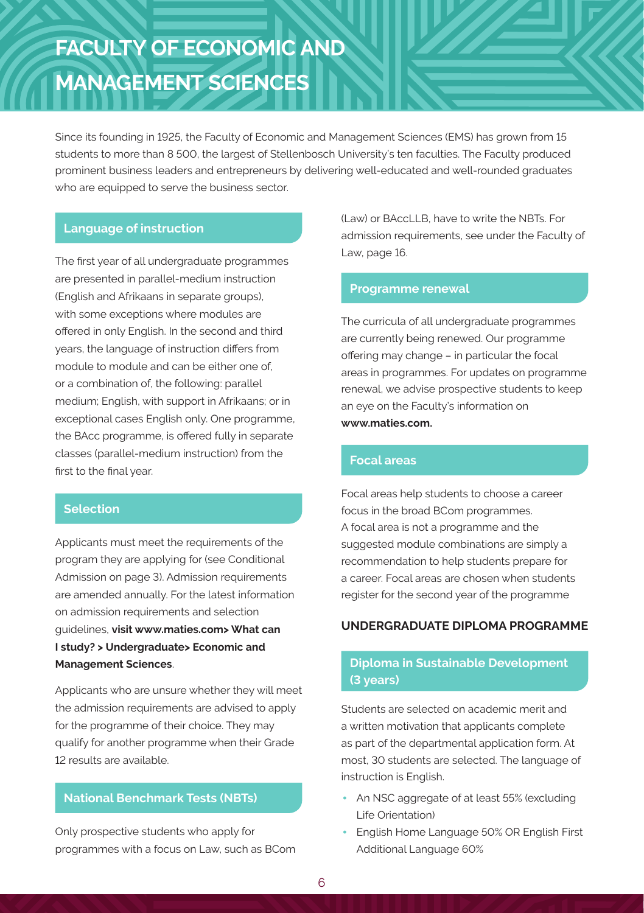# **FACULTY OF ECONOMIC AND MANAGEMENT SCIENCES**

Since its founding in 1925, the Faculty of Economic and Management Sciences (EMS) has grown from 15 students to more than 8 500, the largest of Stellenbosch University's ten faculties. The Faculty produced prominent business leaders and entrepreneurs by delivering well-educated and well-rounded graduates who are equipped to serve the business sector.

### **Language of instruction**

The first year of all undergraduate programmes are presented in parallel-medium instruction (English and Afrikaans in separate groups), with some exceptions where modules are offered in only English. In the second and third years, the language of instruction differs from module to module and can be either one of. or a combination of, the following: parallel medium; English, with support in Afrikaans; or in exceptional cases English only. One programme, the BAcc programme, is offered fully in separate classes (parallel-medium instruction) from the first to the final year.

### **Selection**

Applicants must meet the requirements of the program they are applying for (see Conditional Admission on page 3). Admission requirements are amended annually. For the latest information on admission requirements and selection guidelines, **visit www.maties.com> What can I study? > Undergraduate> Economic and Management Sciences**.

Applicants who are unsure whether they will meet the admission requirements are advised to apply for the programme of their choice. They may qualify for another programme when their Grade 12 results are available.

# **National Benchmark Tests (NBTs)**

Only prospective students who apply for programmes with a focus on Law, such as BCom (Law) or BAccLLB, have to write the NBTs. For admission requirements, see under the Faculty of Law, page 16.

### **Programme renewal**

The curricula of all undergraduate programmes are currently being renewed. Our programme offering may change – in particular the focal areas in programmes. For updates on programme renewal, we advise prospective students to keep an eye on the Faculty's information on **www.maties.com.**

### **Focal areas**

Focal areas help students to choose a career focus in the broad BCom programmes. A focal area is not a programme and the suggested module combinations are simply a recommendation to help students prepare for a career. Focal areas are chosen when students register for the second year of the programme

### **UNDERGRADUATE DIPLOMA PROGRAMME**

### **Diploma in Sustainable Development (3 years)**

Students are selected on academic merit and a written motivation that applicants complete as part of the departmental application form. At most, 30 students are selected. The language of instruction is English.

- An NSC aggregate of at least 55% (excluding Life Orientation)
- English Home Language 50% OR English First Additional Language 60%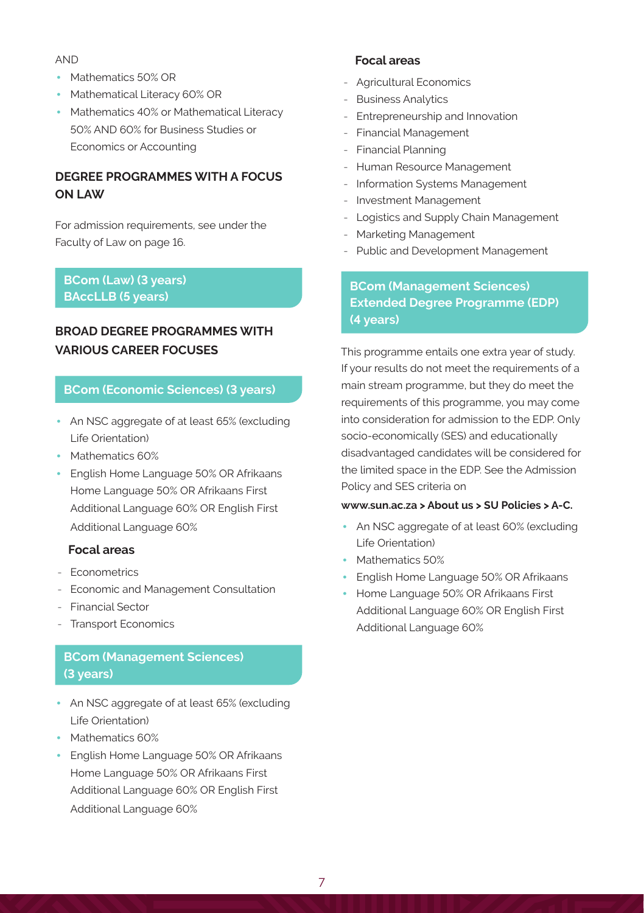AND

- Mathematics 50% OR
- Mathematical Literacy 60% OR
- Mathematics 40% or Mathematical Literacy 50% AND 60% for Business Studies or Economics or Accounting

## **DEGREE PROGRAMMES WITH A FOCUS ON LAW**

For admission requirements, see under the Faculty of Law on page 16.

## **BCom (Law) (3 years) BAccLLB (5 years)**

# **BROAD DEGREE PROGRAMMES WITH VARIOUS CAREER FOCUSES**

### **BCom (Economic Sciences) (3 years)**

- An NSC aggregate of at least 65% (excluding Life Orientation)
- Mathematics 60%
- English Home Language 50% OR Afrikaans Home Language 50% OR Afrikaans First Additional Language 60% OR English First Additional Language 60%

### **Focal areas**

- Econometrics
- Economic and Management Consultation
- Financial Sector
- Transport Economics

# **BCom (Management Sciences) (3 years)**

- An NSC aggregate of at least 65% (excluding Life Orientation)
- Mathematics 60%
- English Home Language 50% OR Afrikaans Home Language 50% OR Afrikaans First Additional Language 60% OR English First Additional Language 60%

### **Focal areas**

- Agricultural Economics
- Business Analytics
- Entrepreneurship and Innovation
- Financial Management
- Financial Planning
- Human Resource Management
- Information Systems Management
- Investment Management
- Logistics and Supply Chain Management
- Marketing Management
- Public and Development Management

# **BCom (Management Sciences) Extended Degree Programme (EDP) (4 years)**

This programme entails one extra year of study. If your results do not meet the requirements of a main stream programme, but they do meet the requirements of this programme, you may come into consideration for admission to the EDP. Only socio-economically (SES) and educationally disadvantaged candidates will be considered for the limited space in the EDP. See the Admission Policy and SES criteria on

#### **www.sun.ac.za > About us > SU Policies > A-C.**

- An NSC aggregate of at least 60% (excluding Life Orientation)
- Mathematics 50%
- English Home Language 50% OR Afrikaans
- Home Language 50% OR Afrikaans First Additional Language 60% OR English First Additional Language 60%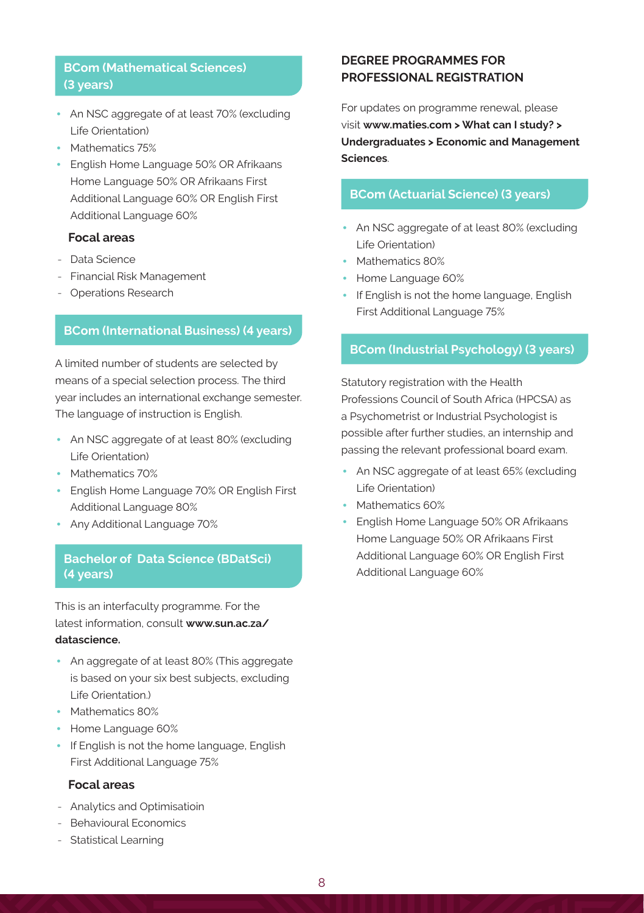## **BCom (Mathematical Sciences) (3 years)**

- An NSC aggregate of at least 70% (excluding Life Orientation)
- Mathematics 75%
- English Home Language 50% OR Afrikaans Home Language 50% OR Afrikaans First Additional Language 60% OR English First Additional Language 60%

### **Focal areas**

- Data Science
- Financial Risk Management
- Operations Research

### **BCom (International Business) (4 years)**

A limited number of students are selected by means of a special selection process. The third year includes an international exchange semester. The language of instruction is English.

- An NSC aggregate of at least 80% (excluding Life Orientation)
- Mathematics 70%
- English Home Language 70% OR English First Additional Language 80%
- Any Additional Language 70%

### **Bachelor of Data Science (BDatSci) (4 years)**

This is an interfaculty programme. For the latest information, consult **www.sun.ac.za/ datascience.**

- An aggregate of at least 80% (This aggregate is based on your six best subjects, excluding Life Orientation.)
- Mathematics 80%
- Home Language 60%
- If English is not the home language, English First Additional Language 75%

### **Focal areas**

- Analytics and Optimisatioin
- Behavioural Economics
- Statistical Learning

### **DEGREE PROGRAMMES FOR PROFESSIONAL REGISTRATION**

For updates on programme renewal, please visit **www.maties.com > What can I study? > Undergraduates > Economic and Management Sciences**.

### **BCom (Actuarial Science) (3 years)**

- An NSC aggregate of at least 80% (excluding Life Orientation)
- Mathematics 80%
- Home Language 60%
- If English is not the home language, English First Additional Language 75%

### **BCom (Industrial Psychology) (3 years)**

Statutory registration with the Health Professions Council of South Africa (HPCSA) as a Psychometrist or Industrial Psychologist is possible after further studies, an internship and passing the relevant professional board exam.

- An NSC aggregate of at least 65% (excluding Life Orientation)
- Mathematics 60%
- English Home Language 50% OR Afrikaans Home Language 50% OR Afrikaans First Additional Language 60% OR English First Additional Language 60%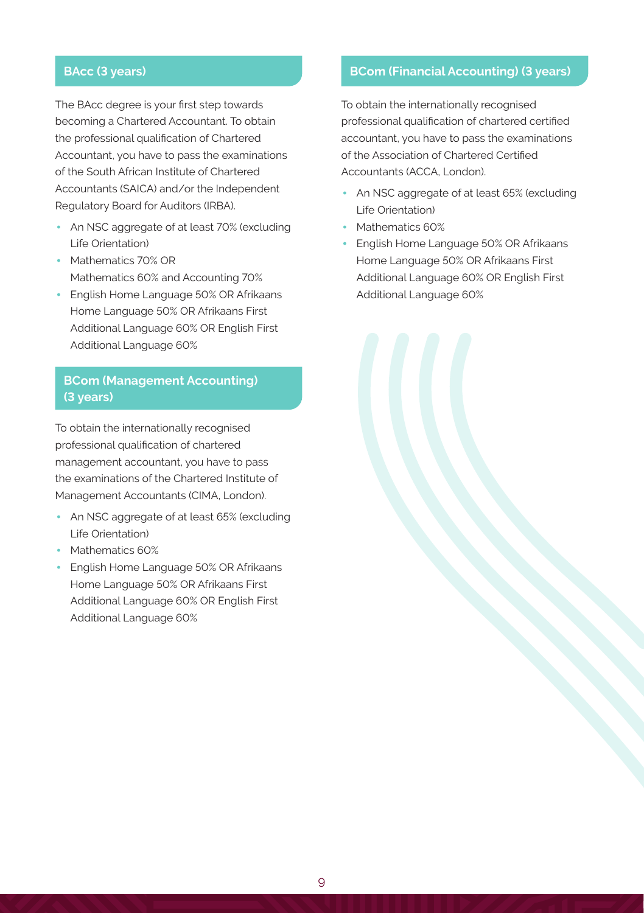# **BAcc (3 years)**

The BAcc degree is your first step towards becoming a Chartered Accountant. To obtain the professional qualification of Chartered Accountant, you have to pass the examinations of the South African Institute of Chartered Accountants (SAICA) and/or the Independent Regulatory Board for Auditors (IRBA).

- An NSC aggregate of at least 70% (excluding Life Orientation)
- Mathematics 70% OR Mathematics 60% and Accounting 70%
- English Home Language 50% OR Afrikaans Home Language 50% OR Afrikaans First Additional Language 60% OR English First Additional Language 60%

## **BCom (Management Accounting) (3 years)**

To obtain the internationally recognised professional qualification of chartered management accountant, you have to pass the examinations of the Chartered Institute of Management Accountants (CIMA, London).

- An NSC aggregate of at least 65% (excluding Life Orientation)
- Mathematics 60%
- English Home Language 50% OR Afrikaans Home Language 50% OR Afrikaans First Additional Language 60% OR English First Additional Language 60%

# **BCom (Financial Accounting) (3 years)**

To obtain the internationally recognised professional qualification of chartered certified accountant, you have to pass the examinations of the Association of Chartered Certified Accountants (ACCA, London).

- An NSC aggregate of at least 65% (excluding Life Orientation)
- Mathematics 60%
- English Home Language 50% OR Afrikaans Home Language 50% OR Afrikaans First Additional Language 60% OR English First Additional Language 60%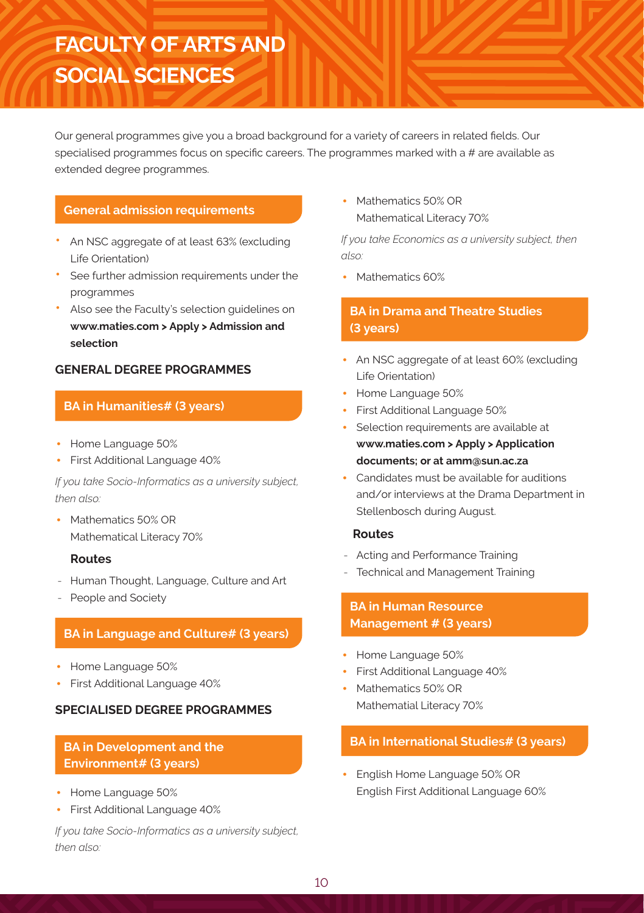# **FACULTY OF ARTS AND SOCIAL SCIENCES**

Our general programmes give you a broad background for a variety of careers in related fields. Our specialised programmes focus on specific careers. The programmes marked with a # are available as extended degree programmes.

## **General admission requirements**

- An NSC aggregate of at least 63% (excluding Life Orientation)
- See further admission requirements under the programmes
- Also see the Faculty's selection guidelines on **www.maties.com > Apply > Admission and selection**

### **GENERAL DEGREE PROGRAMMES**

## **BA in Humanities# (3 years)**

- Home Language 50%
- First Additional Language 40%

*If you take Socio-Informatics as a university subject, then also:*

• Mathematics 50% OR Mathematical Literacy 70%

### **Routes**

- Human Thought, Language, Culture and Art
- People and Society

### **BA in Language and Culture# (3 years)**

- Home Language 50%
- First Additional Language 40%

### **SPECIALISED DEGREE PROGRAMMES**

## **BA in Development and the Environment# (3 years)**

- Home Language 50%
- First Additional Language 40%

*If you take Socio-Informatics as a university subject, then also:*

• Mathematics 50% OR Mathematical Literacy 70%

*If you take Economics as a university subject, then also:*

• Mathematics 60%

# **BA in Drama and Theatre Studies (3 years)**

- An NSC aggregate of at least 60% (excluding Life Orientation)
- Home Language 50%
- First Additional Language 50%
- Selection requirements are available at **www.maties.com > Apply > Application documents; or at amm@sun.ac.za**
- Candidates must be available for auditions and/or interviews at the Drama Department in Stellenbosch during August.

### **Routes**

- Acting and Performance Training
- Technical and Management Training

# **BA in Human Resource Management # (3 years)**

- Home Language 50%
- First Additional Language 40%
- Mathematics 50% OR Mathematial Literacy 70%

# **BA in International Studies# (3 years)**

• English Home Language 50% OR English First Additional Language 60%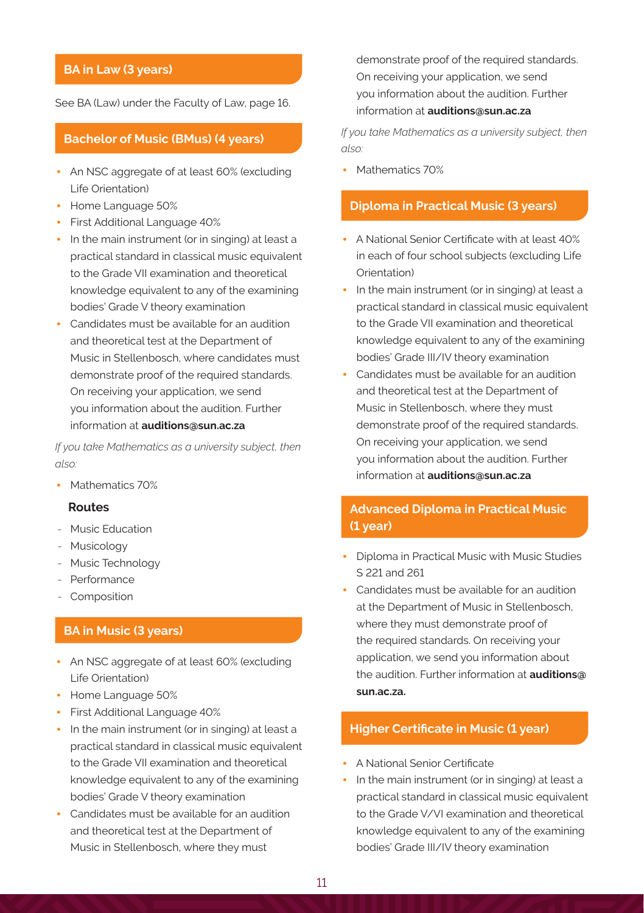# **BA in Law (3 years)**

See BA (Law) under the Faculty of Law, page 16.

### **Bachelor of Music (BMus) (4 years)**

- An NSC aggregate of at least 60% (excluding Life Orientation)
- Home Language 50%
- First Additional Language 40%
- In the main instrument (or in singing) at least a practical standard in classical music equivalent to the Grade VII examination and theoretical knowledge equivalent to any of the examining bodies' Grade V theory examination
- Candidates must be available for an audition and theoretical test at the Department of Music in Stellenbosch, where candidates must demonstrate proof of the required standards. On receiving your application, we send you information about the audition. Further information at **auditions@sun.ac.za**

*If you take Mathematics as a university subject, then also:*

• Mathematics 70%

#### **Routes**

- Music Education
- Musicology
- Music Technology
- Performance
- **Composition**

### **BA in Music (3 years)**

- An NSC aggregate of at least 60% (excluding Life Orientation)
- Home Language 50%
- First Additional Language 40%
- In the main instrument (or in singing) at least a practical standard in classical music equivalent to the Grade VII examination and theoretical knowledge equivalent to any of the examining bodies' Grade V theory examination
- Candidates must be available for an audition and theoretical test at the Department of Music in Stellenbosch, where they must

demonstrate proof of the required standards. On receiving your application, we send you information about the audition. Further information at **auditions@sun.ac.za**

*If you take Mathematics as a university subject, then also:*

• Mathematics 70%

### **Diploma in Practical Music (3 years)**

- A National Senior Certificate with at least 40% in each of four school subjects (excluding Life Orientation)
- In the main instrument (or in singing) at least a practical standard in classical music equivalent to the Grade VII examination and theoretical knowledge equivalent to any of the examining bodies' Grade III/IV theory examination
- Candidates must be available for an audition and theoretical test at the Department of Music in Stellenbosch, where they must demonstrate proof of the required standards. On receiving your application, we send you information about the audition. Further information at **auditions@sun.ac.za**

## **Advanced Diploma in Practical Music (1 year)**

- Diploma in Practical Music with Music Studies S 221 and 261
- Candidates must be available for an audition at the Department of Music in Stellenbosch, where they must demonstrate proof of the required standards. On receiving your application, we send you information about the audition. Further information at **auditions@ sun.ac.za.**

### **Higher Certificate in Music (1 year)**

- A National Senior Certificate
- In the main instrument (or in singing) at least a practical standard in classical music equivalent to the Grade V/VI examination and theoretical knowledge equivalent to any of the examining bodies' Grade III/IV theory examination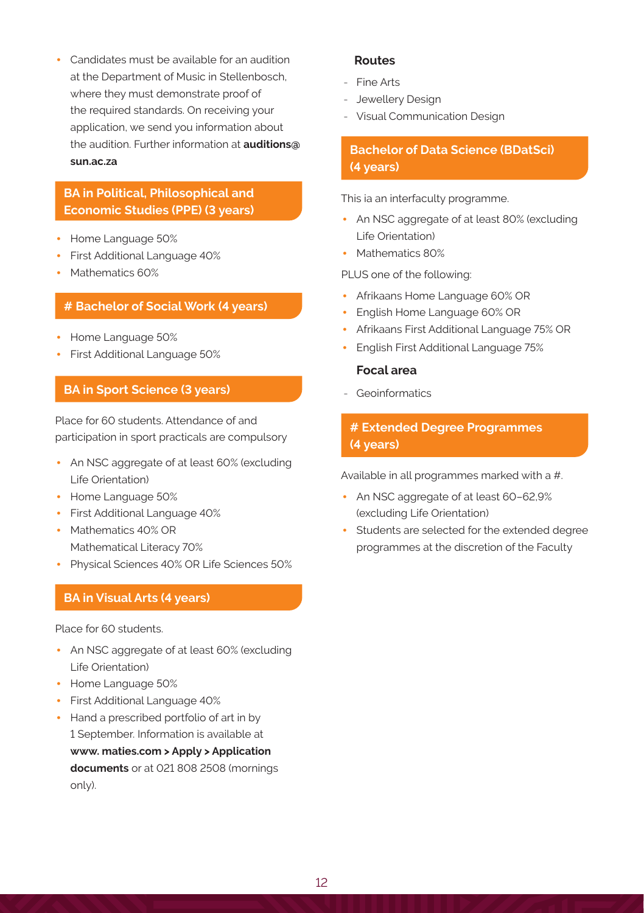• Candidates must be available for an audition at the Department of Music in Stellenbosch, where they must demonstrate proof of the required standards. On receiving your application, we send you information about the audition. Further information at **auditions@ sun.ac.za**

### **BA in Political, Philosophical and Economic Studies (PPE) (3 years)**

- Home Language 50%
- First Additional Language 40%
- Mathematics 60%

### **# Bachelor of Social Work (4 years)**

- Home Language 50%
- First Additional Language 50%

### **BA in Sport Science (3 years)**

Place for 60 students. Attendance of and participation in sport practicals are compulsory

- An NSC aggregate of at least 60% (excluding Life Orientation)
- Home Language 50%
- First Additional Language 40%
- Mathematics 40% OR Mathematical Literacy 70%
- Physical Sciences 40% OR Life Sciences 50%

### **BA in Visual Arts (4 years)**

Place for 60 students.

- An NSC aggregate of at least 60% (excluding Life Orientation)
- Home Language 50%
- First Additional Language 40%
- Hand a prescribed portfolio of art in by 1 September. Information is available at **www. maties.com > Apply > Application documents** or at 021 808 2508 (mornings only).

### **Routes**

- Fine Arts
- Jewellery Design
- Visual Communication Design

## **Bachelor of Data Science (BDatSci) (4 years)**

This ia an interfaculty programme.

- An NSC aggregate of at least 80% (excluding Life Orientation)
- Mathematics 80%

PLUS one of the following:

- Afrikaans Home Language 60% OR
- English Home Language 60% OR
- Afrikaans First Additional Language 75% OR
- English First Additional Language 75%

### **Focal area**

- Geoinformatics

# **# Extended Degree Programmes (4 years)**

Available in all programmes marked with a #.

- An NSC aggregate of at least 60–62,9% (excluding Life Orientation)
- Students are selected for the extended degree programmes at the discretion of the Faculty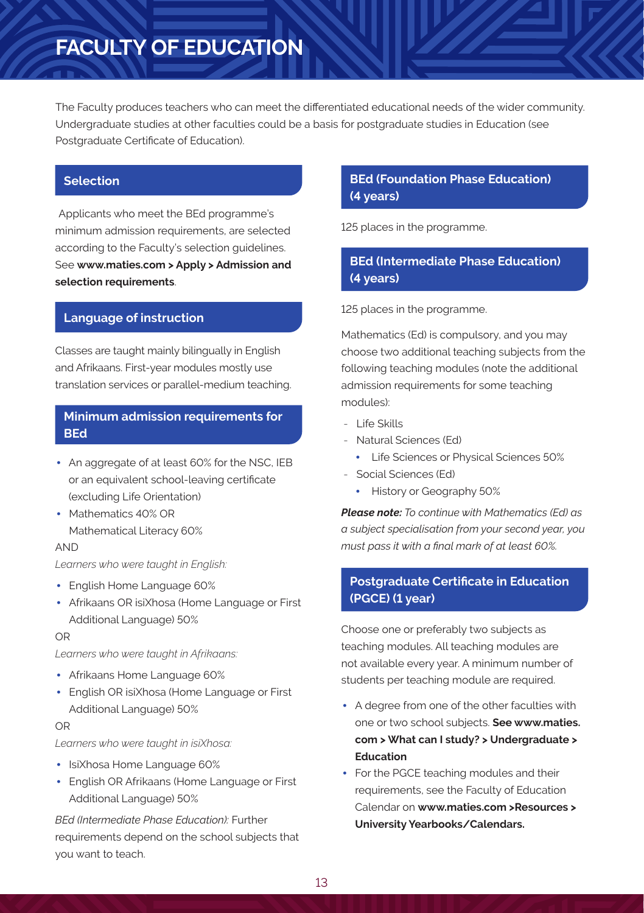# **FACULTY OF EDUCATION**

The Faculty produces teachers who can meet the differentiated educational needs of the wider community. Undergraduate studies at other faculties could be a basis for postgraduate studies in Education (see Postgraduate Certificate of Education).

### **Selection**

Applicants who meet the BEd programme's minimum admission requirements, are selected according to the Faculty's selection guidelines. See **www.maties.com > Apply > Admission and selection requirements**.

### **Language of instruction**

Classes are taught mainly bilingually in English and Afrikaans. First-year modules mostly use translation services or parallel-medium teaching.

## **Minimum admission requirements for BEd**

- An aggregate of at least 60% for the NSC, IEB or an equivalent school-leaving certificate (excluding Life Orientation)
- Mathematics 40% OR Mathematical Literacy 60%

### AND

*Learners who were taught in English:*

- English Home Language 60%
- Afrikaans OR isiXhosa (Home Language or First Additional Language) 50%

### OR

*Learners who were taught in Afrikaans:*

- Afrikaans Home Language 60%
- English OR isiXhosa (Home Language or First Additional Language) 50%

### OR

*Learners who were taught in isiXhosa:*

- IsiXhosa Home Language 60%
- English OR Afrikaans (Home Language or First Additional Language) 50%

*BEd (Intermediate Phase Education):* Further requirements depend on the school subjects that you want to teach.

## **BEd (Foundation Phase Education) (4 years)**

125 places in the programme.

# **BEd (Intermediate Phase Education) (4 years)**

125 places in the programme.

Mathematics (Ed) is compulsory, and you may choose two additional teaching subjects from the following teaching modules (note the additional admission requirements for some teaching modules):

- Life Skills
- Natural Sciences (Ed)
	- Life Sciences or Physical Sciences 50%
- Social Sciences (Ed)
	- History or Geography 50%

*Please note: To continue with Mathematics (Ed) as a subject specialisation from your second year, you must pass it with a final mark of at least 60%.*

## **Postgraduate Certificate in Education (PGCE) (1 year)**

Choose one or preferably two subjects as teaching modules. All teaching modules are not available every year. A minimum number of students per teaching module are required.

- A degree from one of the other faculties with one or two school subjects. **See www.maties. com > What can I study? > Undergraduate > Education**
- For the PGCE teaching modules and their requirements, see the Faculty of Education Calendar on **www.maties.com >Resources > University Yearbooks/Calendars.**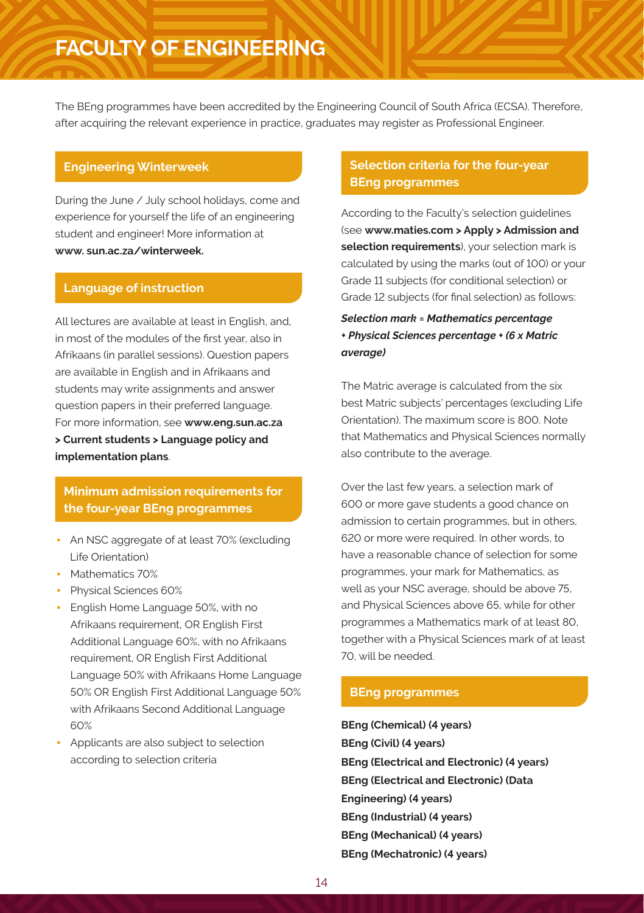# **FACULTY OF ENGINEERING**

The BEng programmes have been accredited by the Engineering Council of South Africa (ECSA). Therefore, after acquiring the relevant experience in practice, graduates may register as Professional Engineer.

### **Engineering Winterweek**

During the June / July school holidays, come and experience for yourself the life of an engineering student and engineer! More information at **www. sun.ac.za/winterweek.**

### **Language of instruction**

All lectures are available at least in English, and, in most of the modules of the first year, also in Afrikaans (in parallel sessions). Question papers are available in English and in Afrikaans and students may write assignments and answer question papers in their preferred language. For more information, see **www.eng.sun.ac.za > Current students > Language policy and implementation plans**.

## **Minimum admission requirements for the four-year BEng programmes**

- An NSC aggregate of at least 70% (excluding Life Orientation)
- Mathematics 70%
- Physical Sciences 60%
- English Home Language 50%, with no Afrikaans requirement, OR English First Additional Language 60%, with no Afrikaans requirement, OR English First Additional Language 50% with Afrikaans Home Language 50% OR English First Additional Language 50% with Afrikaans Second Additional Language 60%
- Applicants are also subject to selection according to selection criteria

## **Selection criteria for the four-year BEng programmes**

According to the Faculty's selection guidelines (see **www.maties.com > Apply > Admission and selection requirements**), your selection mark is calculated by using the marks (out of 100) or your Grade 11 subjects (for conditional selection) or Grade 12 subjects (for final selection) as follows:

# *Selection mark = Mathematics percentage + Physical Sciences percentage + (6 x Matric average)*

The Matric average is calculated from the six best Matric subjects' percentages (excluding Life Orientation). The maximum score is 800. Note that Mathematics and Physical Sciences normally also contribute to the average.

Over the last few years, a selection mark of 600 or more gave students a good chance on admission to certain programmes, but in others, 620 or more were required. In other words, to have a reasonable chance of selection for some programmes, your mark for Mathematics, as well as your NSC average, should be above 75, and Physical Sciences above 65, while for other programmes a Mathematics mark of at least 80, together with a Physical Sciences mark of at least 70, will be needed.

### **BEng programmes**

**BEng (Chemical) (4 years) BEng (Civil) (4 years) BEng (Electrical and Electronic) (4 years) BEng (Electrical and Electronic) (Data Engineering) (4 years) BEng (Industrial) (4 years) BEng (Mechanical) (4 years) BEng (Mechatronic) (4 years)**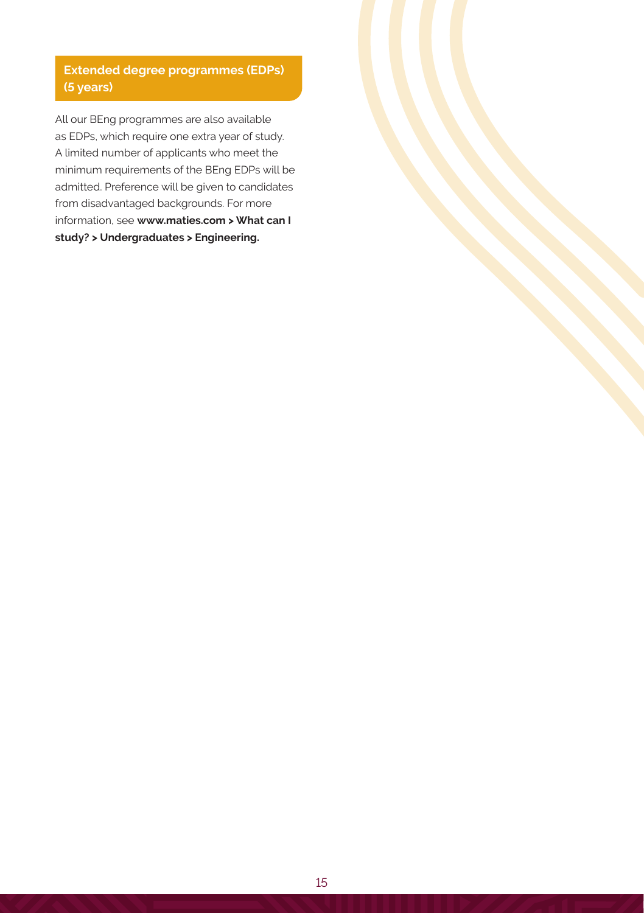# **Extended degree programmes (EDPs) (5 years)**

All our BEng programmes are also available as EDPs, which require one extra year of study. A limited number of applicants who meet the minimum requirements of the BEng EDPs will be admitted. Preference will be given to candidates from disadvantaged backgrounds. For more information, see **www.maties.com > What can I study? > Undergraduates > Engineering.**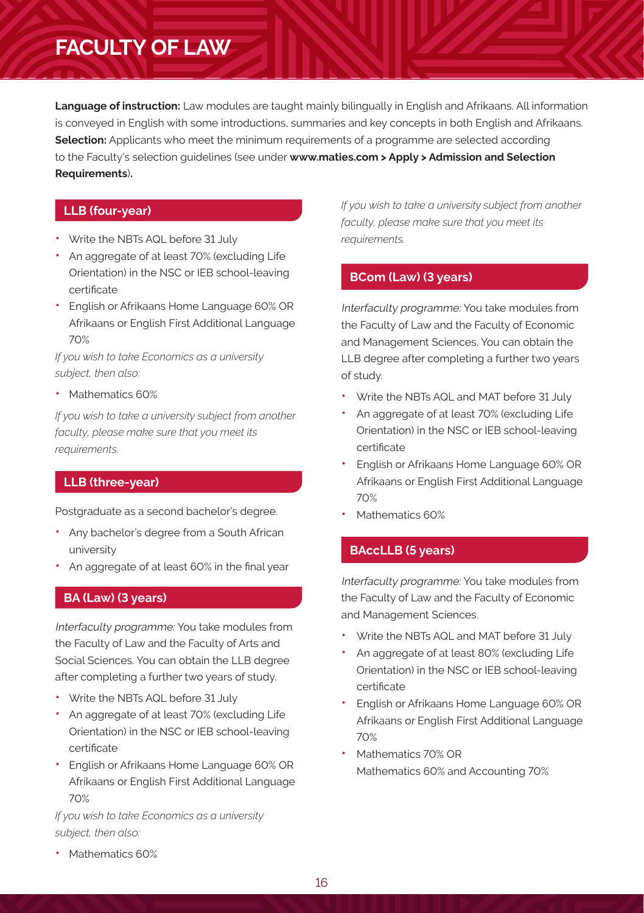# **FACULTY OF LAW**

**Language of instruction:** Law modules are taught mainly bilingually in English and Afrikaans. All information is conveyed in English with some introductions, summaries and key concepts in both English and Afrikaans. **Selection:** Applicants who meet the minimum requirements of a programme are selected according to the Faculty's selection guidelines (see under **www.maties.com > Apply > Admission and Selection Requirements**)**.**

# **LLB (four-year)**

- Write the NBTs AQL before 31 July
- An aggregate of at least 70% (excluding Life Orientation) in the NSC or IEB school-leaving certificate
- English or Afrikaans Home Language 60% OR Afrikaans or English First Additional Language 70%

*If you wish to take Economics as a university subject, then also:*

• Mathematics 60%

*If you wish to take a university subject from another faculty, please make sure that you meet its requirements.*

### **LLB (three-year)**

Postgraduate as a second bachelor's degree.

- Any bachelor's degree from a South African university
- An aggregate of at least 60% in the final year

### **BA (Law) (3 years)**

Interfaculty programme: You take modules from the Faculty of Law and the Faculty of Arts and Social Sciences. You can obtain the LLB degree after completing a further two years of study.

- Write the NBTs AQL before 31 July
- An aggregate of at least 70% (excluding Life Orientation) in the NSC or IEB school-leaving certificate
- English or Afrikaans Home Language 60% OR Afrikaans or English First Additional Language 70%

*If you wish to take Economics as a university subject, then also:*

*If you wish to take a university subject from another faculty, please make sure that you meet its requirements.*

## **BCom (Law) (3 years)**

Interfaculty programme: You take modules from the Faculty of Law and the Faculty of Economic and Management Sciences. You can obtain the LLB degree after completing a further two years of study.

- Write the NBTs AQL and MAT before 31 July
- An aggregate of at least 70% (excluding Life Orientation) in the NSC or IEB school-leaving certificate
- English or Afrikaans Home Language 60% OR Afrikaans or English First Additional Language 70%
- Mathematics 60%

# **BAccLLB (5 years)**

Interfaculty programme: You take modules from the Faculty of Law and the Faculty of Economic and Management Sciences.

- Write the NBTs AQL and MAT before 31 July
- An aggregate of at least 80% (excluding Life Orientation) in the NSC or IEB school-leaving certificate
- English or Afrikaans Home Language 60% OR Afrikaans or English First Additional Language 70%
- Mathematics 70% OR Mathematics 60% and Accounting 70%

• Mathematics 60%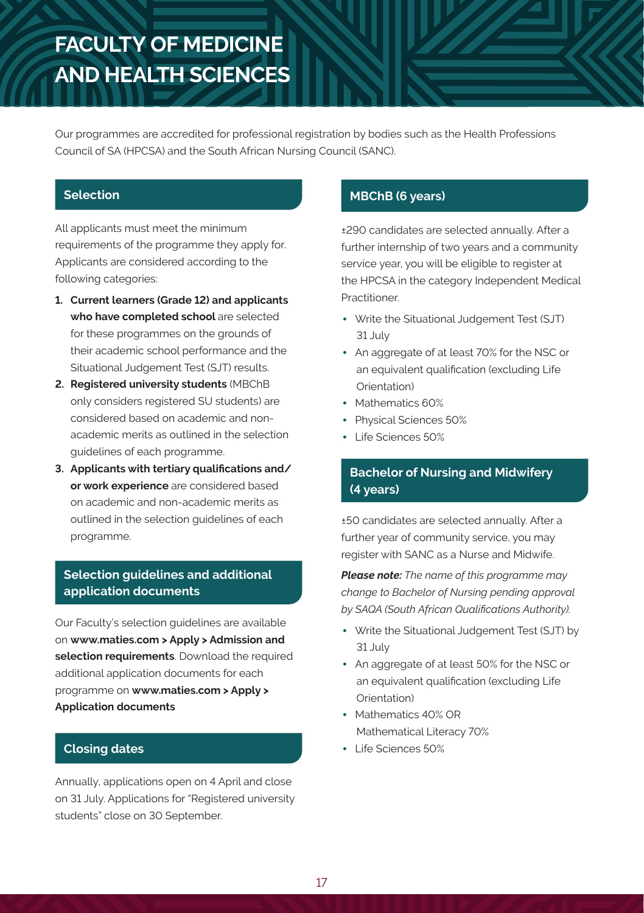# **FACULTY OF MEDICINE AND HEALTH SCIENCES**

Our programmes are accredited for professional registration by bodies such as the Health Professions Council of SA (HPCSA) and the South African Nursing Council (SANC).

## **Selection**

All applicants must meet the minimum requirements of the programme they apply for. Applicants are considered according to the following categories:

- **1. Current learners (Grade 12) and applicants who have completed school** are selected for these programmes on the grounds of their academic school performance and the Situational Judgement Test (SJT) results.
- **2. Registered university students** (MBChB only considers registered SU students) are considered based on academic and nonacademic merits as outlined in the selection guidelines of each programme.
- **3. Applicants with tertiary qualifications and/ or work experience** are considered based on academic and non-academic merits as outlined in the selection guidelines of each programme.

# **Selection guidelines and additional application documents**

Our Faculty's selection guidelines are available on **www.maties.com > Apply > Admission and selection requirements**. Download the required additional application documents for each programme on **www.maties.com > Apply > Application documents**

# **Closing dates**

Annually, applications open on 4 April and close on 31 July. Applications for "Registered university students" close on 30 September.

# **MBChB (6 years)**

±290 candidates are selected annually. After a further internship of two years and a community service year, you will be eligible to register at the HPCSA in the category Independent Medical Practitioner.

- Write the Situational Judgement Test (SJT) 31 July
- An aggregate of at least 70% for the NSC or an equivalent qualification (excluding Life Orientation)
- Mathematics 60%
- Physical Sciences 50%
- Life Sciences 50%

# **Bachelor of Nursing and Midwifery (4 years)**

±50 candidates are selected annually. After a further year of community service, you may register with SANC as a Nurse and Midwife.

*Please note: The name of this programme may change to Bachelor of Nursing pending approval by SAQA (South African Qualifications Authority).*

- Write the Situational Judgement Test (SJT) by 31 July
- An aggregate of at least 50% for the NSC or an equivalent qualification (excluding Life Orientation)
- Mathematics 40% OR Mathematical Literacy 70%
- Life Sciences 50%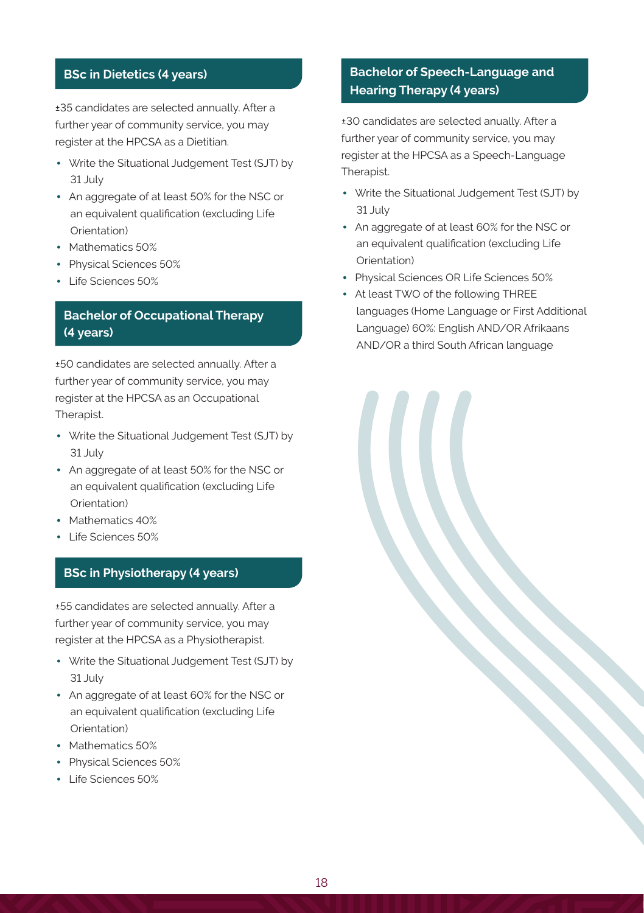### **BSc in Dietetics (4 years)**

±35 candidates are selected annually. After a further year of community service, you may register at the HPCSA as a Dietitian.

- Write the Situational Judgement Test (SJT) by 31 July
- An aggregate of at least 50% for the NSC or an equivalent qualification (excluding Life Orientation)
- Mathematics 50%
- Physical Sciences 50%
- Life Sciences 50%

## **Bachelor of Occupational Therapy (4 years)**

±50 candidates are selected annually. After a further year of community service, you may register at the HPCSA as an Occupational Therapist.

- Write the Situational Judgement Test (SJT) by 31 July
- An aggregate of at least 50% for the NSC or an equivalent qualification (excluding Life Orientation)
- Mathematics 40%
- Life Sciences 50%

### **BSc in Physiotherapy (4 years)**

±55 candidates are selected annually. After a further year of community service, you may register at the HPCSA as a Physiotherapist.

- Write the Situational Judgement Test (SJT) by 31 July
- An aggregate of at least 60% for the NSC or an equivalent qualification (excluding Life Orientation)
- Mathematics 50%
- Physical Sciences 50%
- Life Sciences 50%

# **Bachelor of Speech-Language and Hearing Therapy (4 years)**

±30 candidates are selected anually. After a further year of community service, you may register at the HPCSA as a Speech-Language Therapist.

- Write the Situational Judgement Test (SJT) by 31 July
- An aggregate of at least 60% for the NSC or an equivalent qualification (excluding Life Orientation)
- Physical Sciences OR Life Sciences 50%
- At least TWO of the following THREE languages (Home Language or First Additional Language) 60%: English AND/OR Afrikaans AND/OR a third South African language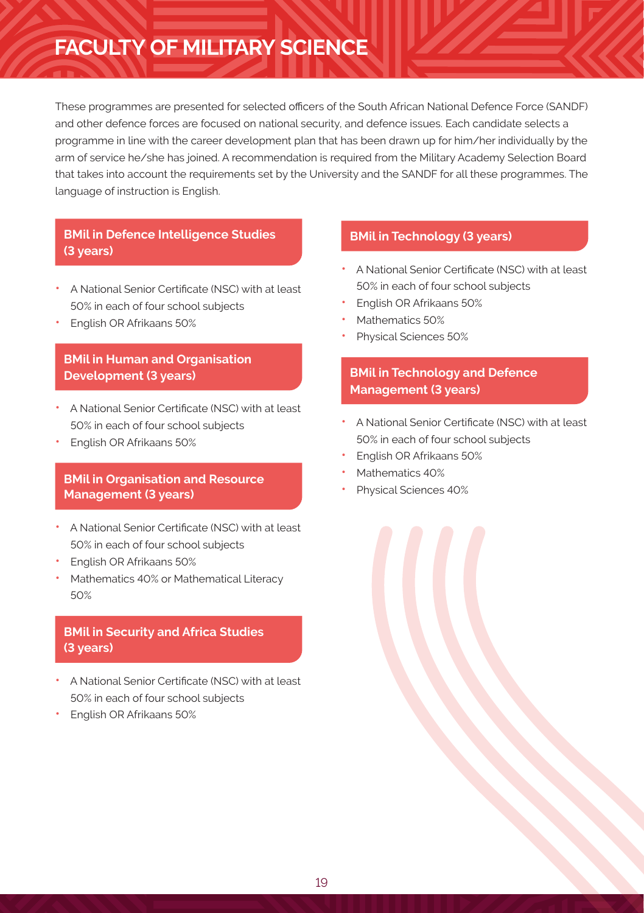# **FACULTY OF MILITARY SCIENCE**

These programmes are presented for selected officers of the South African National Defence Force (SANDF) and other defence forces are focused on national security, and defence issues. Each candidate selects a programme in line with the career development plan that has been drawn up for him/her individually by the arm of service he/she has joined. A recommendation is required from the Military Academy Selection Board that takes into account the requirements set by the University and the SANDF for all these programmes. The language of instruction is English.

## **BMil in Defence Intelligence Studies (3 years)**

- A National Senior Certificate (NSC) with at least 50% in each of four school subjects
- English OR Afrikaans 50%

# **BMil in Human and Organisation Development (3 years)**

- A National Senior Certificate (NSC) with at least 50% in each of four school subjects
- English OR Afrikaans 50%

## **BMil in Organisation and Resource Management (3 years)**

- A National Senior Certificate (NSC) with at least 50% in each of four school subjects
- English OR Afrikaans 50%
- Mathematics 40% or Mathematical Literacy 50%

# **BMil in Security and Africa Studies (3 years)**

- A National Senior Certificate (NSC) with at least 50% in each of four school subjects
- English OR Afrikaans 50%

### **BMil in Technology (3 years)**

- A National Senior Certificate (NSC) with at least 50% in each of four school subjects
- English OR Afrikaans 50%
- Mathematics 50%
- Physical Sciences 50%

# **BMil in Technology and Defence Management (3 years)**

- A National Senior Certificate (NSC) with at least 50% in each of four school subjects
- English OR Afrikaans 50%
- Mathematics 40%
- Physical Sciences 40%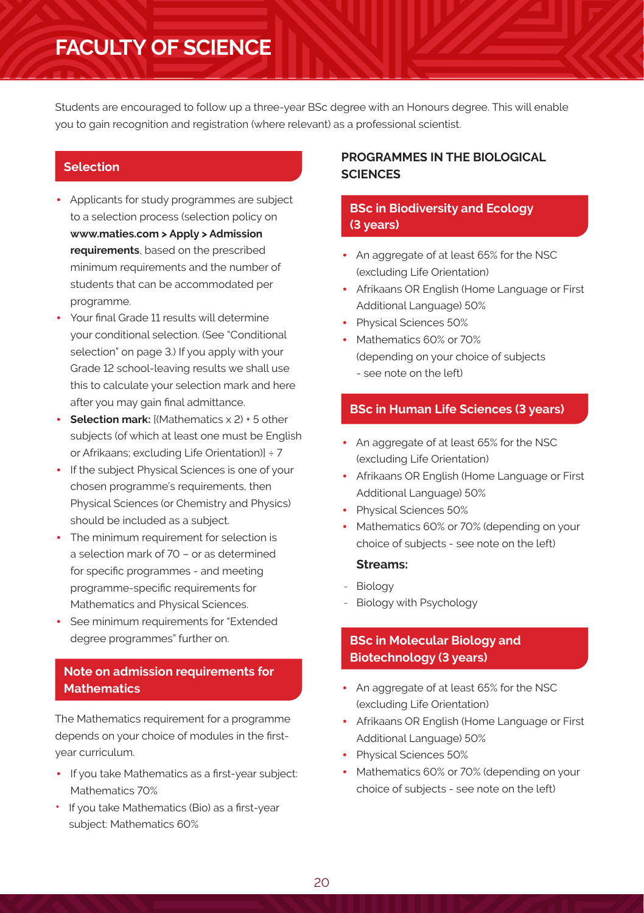# **FACULTY OF SCIENCE**

Students are encouraged to follow up a three-year BSc degree with an Honours degree. This will enable you to gain recognition and registration (where relevant) as a professional scientist.

### **Selection**

- Applicants for study programmes are subject to a selection process (selection policy on **www.maties.com > Apply > Admission requirements**, based on the prescribed minimum requirements and the number of students that can be accommodated per programme.
- Your final Grade 11 results will determine your conditional selection. (See "Conditional selection" on page 3.) If you apply with your Grade 12 school-leaving results we shall use this to calculate your selection mark and here after you may gain final admittance.
- **Selection mark:** [(Mathematics x 2) + 5 other subjects (of which at least one must be English or Afrikaans; excluding Life Orientation)] ÷ 7
- If the subject Physical Sciences is one of your chosen programme's requirements, then Physical Sciences (or Chemistry and Physics) should be included as a subject.
- The minimum requirement for selection is a selection mark of 70 – or as determined for specific programmes - and meeting programme-specific requirements for Mathematics and Physical Sciences.
- See minimum requirements for "Extended degree programmes" further on.

# **Note on admission requirements for Mathematics**

The Mathematics requirement for a programme depends on your choice of modules in the firstyear curriculum.

- If you take Mathematics as a first-year subject: Mathematics 70%
- If you take Mathematics (Bio) as a first-year subject: Mathematics 60%

### **PROGRAMMES IN THE BIOLOGICAL SCIENCES**

## **BSc in Biodiversity and Ecology (3 years)**

- An aggregate of at least 65% for the NSC (excluding Life Orientation)
- Afrikaans OR English (Home Language or First Additional Language) 50%
- Physical Sciences 50%
- Mathematics 60% or 70% (depending on your choice of subjects - see note on the left)

### **BSc in Human Life Sciences (3 years)**

- An aggregate of at least 65% for the NSC (excluding Life Orientation)
- Afrikaans OR English (Home Language or First Additional Language) 50%
- Physical Sciences 50%
- Mathematics 60% or 70% (depending on your choice of subjects - see note on the left)

### **Streams:**

- Biology
- Biology with Psychology

### **BSc in Molecular Biology and Biotechnology (3 years)**

- An aggregate of at least 65% for the NSC (excluding Life Orientation)
- Afrikaans OR English (Home Language or First Additional Language) 50%
- Physical Sciences 50%
- Mathematics 60% or 70% (depending on your choice of subjects - see note on the left)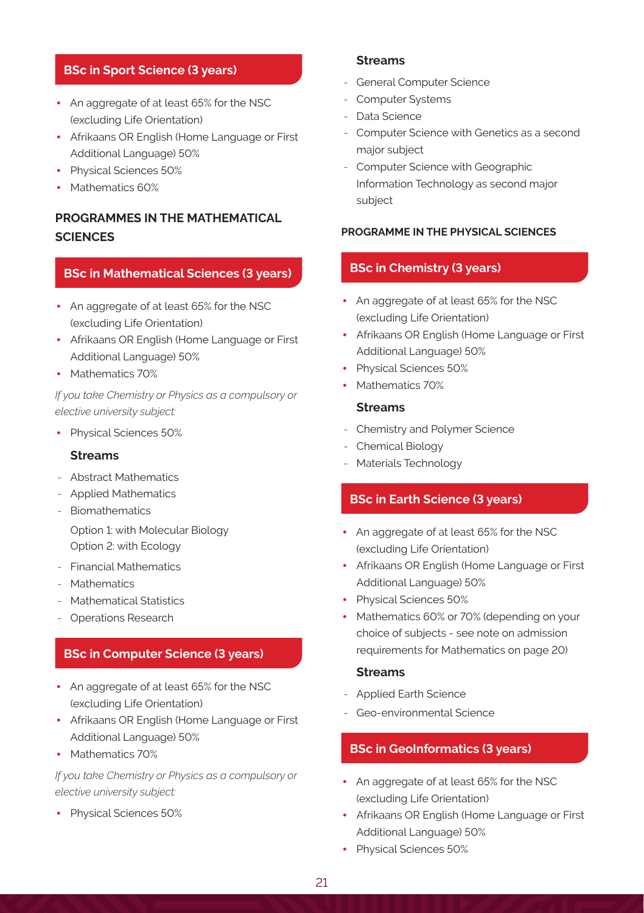### **BSc in Sport Science (3 years)**

- An aggregate of at least 65% for the NSC (excluding Life Orientation)
- Afrikaans OR English (Home Language or First Additional Language) 50%
- Physical Sciences 50%
- Mathematics 60%

# **PROGRAMMES IN THE MATHEMATICAL SCIENCES**

### **BSc in Mathematical Sciences (3 years)**

- An aggregate of at least 65% for the NSC (excluding Life Orientation)
- Afrikaans OR English (Home Language or First Additional Language) 50%
- Mathematics 70%

*If you take Chemistry or Physics as a compulsory or elective university subject:*

• Physical Sciences 50%

#### **Streams**

- Abstract Mathematics
- Applied Mathematics
- Biomathematics

Option 1: with Molecular Biology Option 2: with Ecology

- Financial Mathematics
- Mathematics
- Mathematical Statistics
- Operations Research

### **BSc in Computer Science (3 years)**

- An aggregate of at least 65% for the NSC (excluding Life Orientation)
- Afrikaans OR English (Home Language or First Additional Language) 50%
- Mathematics 70%

*If you take Chemistry or Physics as a compulsory or elective university subject:*

• Physical Sciences 50%

### **Streams**

- General Computer Science
- Computer Systems
- Data Science
- Computer Science with Genetics as a second major subject
- Computer Science with Geographic Information Technology as second major subject

#### **PROGRAMME IN THE PHYSICAL SCIENCES**

### **BSc in Chemistry (3 years)**

- An aggregate of at least 65% for the NSC (excluding Life Orientation)
- Afrikaans OR English (Home Language or First Additional Language) 50%
- Physical Sciences 50%
- Mathematics 70%

### **Streams**

- Chemistry and Polymer Science
- Chemical Biology
- Materials Technology

### **BSc in Earth Science (3 years)**

- An aggregate of at least 65% for the NSC (excluding Life Orientation)
- Afrikaans OR English (Home Language or First Additional Language) 50%
- Physical Sciences 50%
- Mathematics 60% or 70% (depending on your choice of subjects - see note on admission requirements for Mathematics on page 20)

### **Streams**

- Applied Earth Science
- Geo-environmental Science

### **BSc in GeoInformatics (3 years)**

- An aggregate of at least 65% for the NSC (excluding Life Orientation)
- Afrikaans OR English (Home Language or First Additional Language) 50%
- Physical Sciences 50%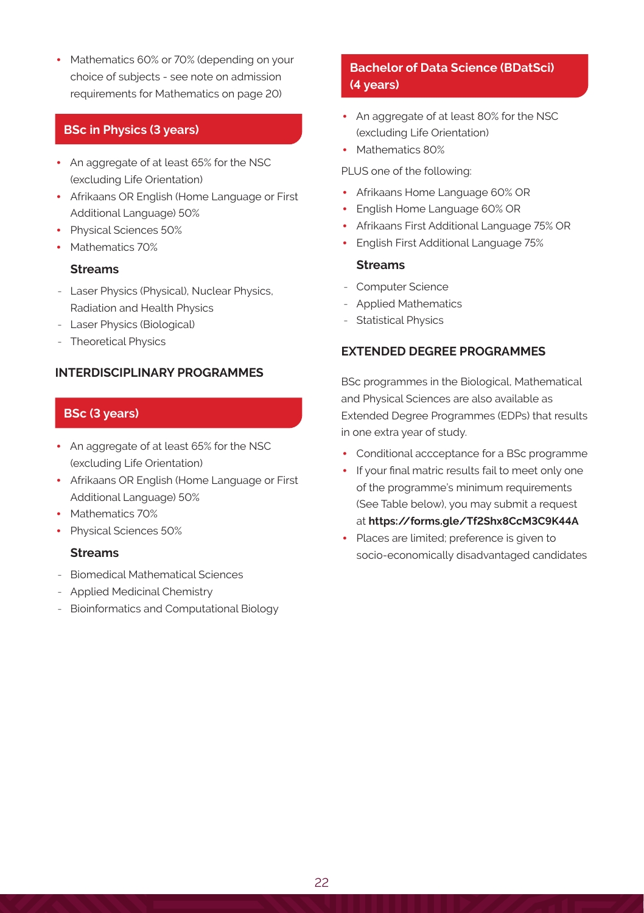• Mathematics 60% or 70% (depending on your choice of subjects - see note on admission requirements for Mathematics on page 20)

### **BSc in Physics (3 years)**

- An aggregate of at least 65% for the NSC (excluding Life Orientation)
- Afrikaans OR English (Home Language or First Additional Language) 50%
- Physical Sciences 50%
- Mathematics 70%

### **Streams**

- Laser Physics (Physical), Nuclear Physics, Radiation and Health Physics
- Laser Physics (Biological)
- Theoretical Physics

### **INTERDISCIPLINARY PROGRAMMES**

### **BSc (3 years)**

- An aggregate of at least 65% for the NSC (excluding Life Orientation)
- Afrikaans OR English (Home Language or First Additional Language) 50%
- Mathematics 70%
- Physical Sciences 50%

### **Streams**

- Biomedical Mathematical Sciences
- Applied Medicinal Chemistry
- Bioinformatics and Computational Biology

# **Bachelor of Data Science (BDatSci) (4 years)**

- An aggregate of at least 80% for the NSC (excluding Life Orientation)
- Mathematics 80%

#### PLUS one of the following:

- Afrikaans Home Language 60% OR
- English Home Language 60% OR
- Afrikaans First Additional Language 75% OR
- English First Additional Language 75%

#### **Streams**

- Computer Science
- Applied Mathematics
- Statistical Physics

### **EXTENDED DEGREE PROGRAMMES**

BSc programmes in the Biological, Mathematical and Physical Sciences are also available as Extended Degree Programmes (EDPs) that results in one extra year of study.

- Conditional accceptance for a BSc programme
- If your final matric results fail to meet only one of the programme's minimum requirements (See Table below), you may submit a request at **https://forms.gle/Tf2Shx8CcM3C9K44A**
- Places are limited; preference is given to socio-economically disadvantaged candidates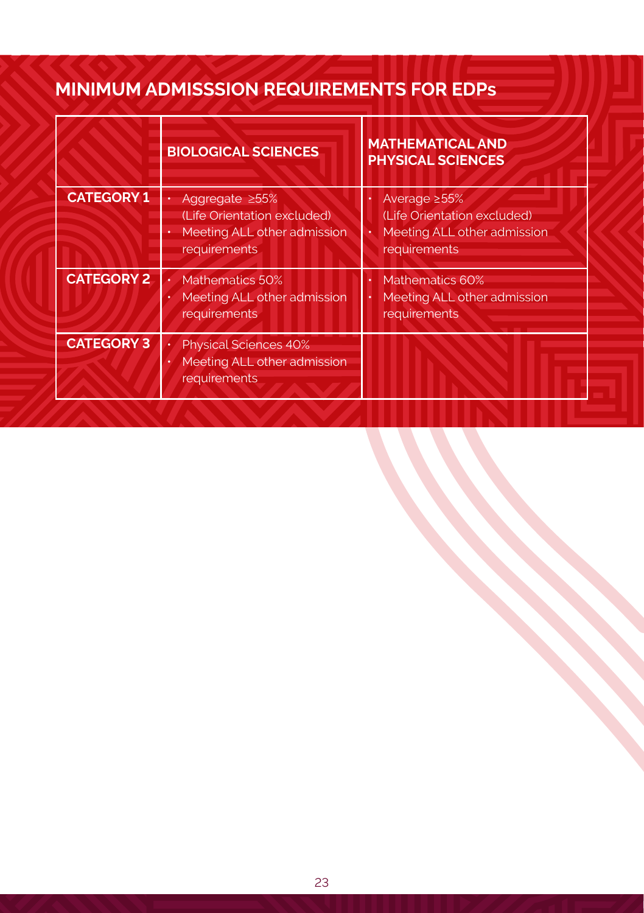# **MINIMUM ADMISSSION REQUIREMENTS FOR EDPs**

|                   | <b>BIOLOGICAL SCIENCES</b>                                                                          | <b>MATHEMATICAL AND</b><br><b>PHYSICAL SCIENCES</b>                                               |  |
|-------------------|-----------------------------------------------------------------------------------------------------|---------------------------------------------------------------------------------------------------|--|
| <b>CATEGORY 1</b> | Aggregate $\geq 55\%$<br>(Life Orientation excluded)<br>Meeting ALL other admission<br>requirements | Average $\geq 55\%$<br>(Life Orientation excluded)<br>Meeting ALL other admission<br>requirements |  |
| <b>CATEGORY 2</b> | Mathematics 50%<br>Meeting ALL other admission<br>requirements                                      | Mathematics 60%<br>Meeting ALL other admission<br>requirements                                    |  |
| <b>CATEGORY 3</b> | <b>Physical Sciences 40%</b><br>Meeting ALL other admission<br>requirements                         |                                                                                                   |  |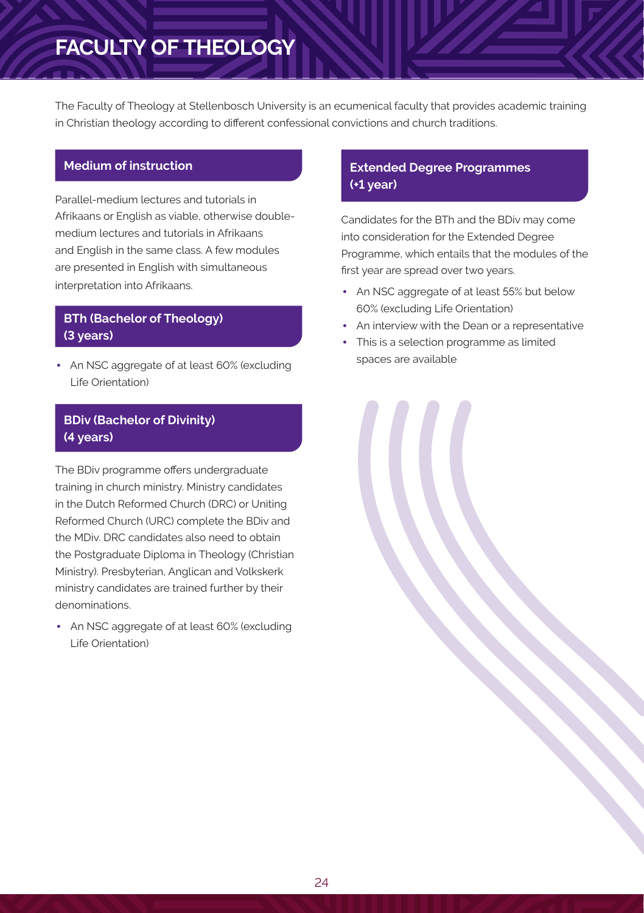# **FACULTY OF THEOLOGY**

The Faculty of Theology at Stellenbosch University is an ecumenical faculty that provides academic training in Christian theology according to different confessional convictions and church traditions.

### **Medium of instruction**

Parallel-medium lectures and tutorials in Afrikaans or English as viable, otherwise doublemedium lectures and tutorials in Afrikaans and English in the same class. A few modules are presented in English with simultaneous interpretation into Afrikaans.

# **BTh (Bachelor of Theology) (3 years)**

• An NSC aggregate of at least 60% (excluding Life Orientation)

## **BDiv (Bachelor of Divinity) (4 years)**

The BDiv programme offers undergraduate training in church ministry. Ministry candidates in the Dutch Reformed Church (DRC) or Uniting Reformed Church (URC) complete the BDiv and the MDiv. DRC candidates also need to obtain the Postgraduate Diploma in Theology (Christian Ministry). Presbyterian, Anglican and Volkskerk ministry candidates are trained further by their denominations.

• An NSC aggregate of at least 60% (excluding Life Orientation)

### **Extended Degree Programmes (+1 year)**

Candidates for the BTh and the BDiv may come into consideration for the Extended Degree Programme, which entails that the modules of the first year are spread over two years.

- An NSC aggregate of at least 55% but below 60% (excluding Life Orientation)
- An interview with the Dean or a representative
- This is a selection programme as limited spaces are available